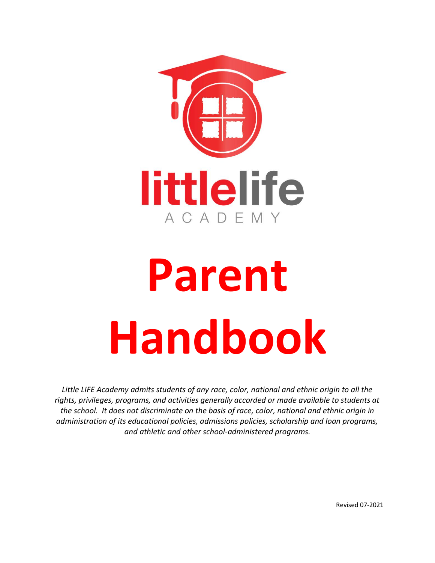

# **Parent Handbook**

*Little LIFE Academy admits students of any race, color, national and ethnic origin to all the rights, privileges, programs, and activities generally accorded or made available to students at the school. It does not discriminate on the basis of race, color, national and ethnic origin in administration of its educational policies, admissions policies, scholarship and loan programs, and athletic and other school-administered programs.*

Revised 07-2021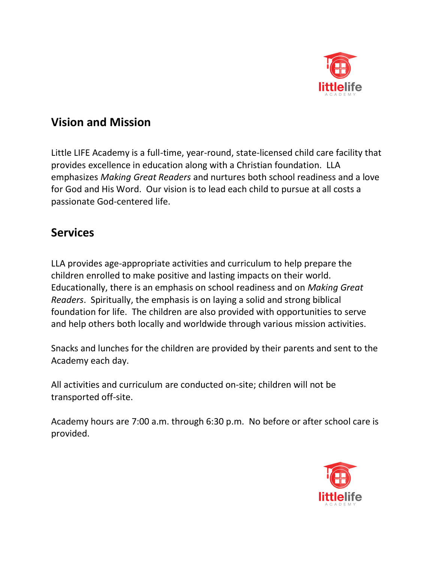

## **Vision and Mission**

Little LIFE Academy is a full-time, year-round, state-licensed child care facility that provides excellence in education along with a Christian foundation. LLA emphasizes *Making Great Readers* and nurtures both school readiness and a love for God and His Word. Our vision is to lead each child to pursue at all costs a passionate God-centered life.

#### **Services**

LLA provides age-appropriate activities and curriculum to help prepare the children enrolled to make positive and lasting impacts on their world. Educationally, there is an emphasis on school readiness and on *Making Great Readers*. Spiritually, the emphasis is on laying a solid and strong biblical foundation for life. The children are also provided with opportunities to serve and help others both locally and worldwide through various mission activities.

Snacks and lunches for the children are provided by their parents and sent to the Academy each day.

All activities and curriculum are conducted on-site; children will not be transported off-site.

Academy hours are 7:00 a.m. through 6:30 p.m. No before or after school care is provided.

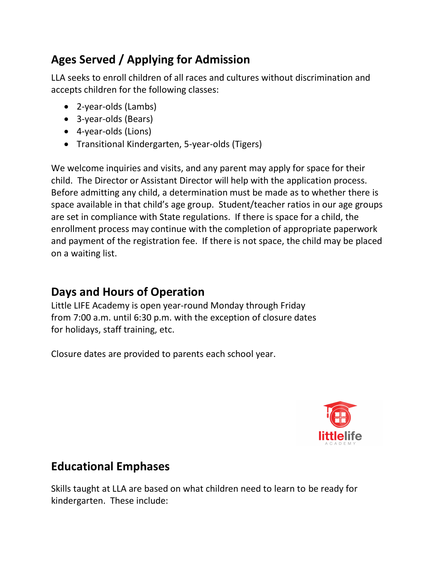# **Ages Served / Applying for Admission**

LLA seeks to enroll children of all races and cultures without discrimination and accepts children for the following classes:

- 2-year-olds (Lambs)
- 3-year-olds (Bears)
- 4-year-olds (Lions)
- Transitional Kindergarten, 5-year-olds (Tigers)

We welcome inquiries and visits, and any parent may apply for space for their child. The Director or Assistant Director will help with the application process. Before admitting any child, a determination must be made as to whether there is space available in that child's age group. Student/teacher ratios in our age groups are set in compliance with State regulations. If there is space for a child, the enrollment process may continue with the completion of appropriate paperwork and payment of the registration fee. If there is not space, the child may be placed on a waiting list.

## **Days and Hours of Operation**

Little LIFE Academy is open year-round Monday through Friday from 7:00 a.m. until 6:30 p.m. with the exception of closure dates for holidays, staff training, etc.

Closure dates are provided to parents each school year.



# **Educational Emphases**

Skills taught at LLA are based on what children need to learn to be ready for kindergarten. These include: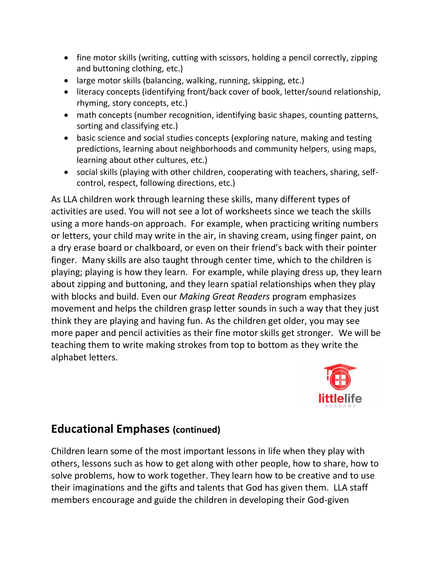- fine motor skills (writing, cutting with scissors, holding a pencil correctly, zipping and buttoning clothing, etc.)
- large motor skills (balancing, walking, running, skipping, etc.)
- literacy concepts (identifying front/back cover of book, letter/sound relationship, rhyming, story concepts, etc.)
- math concepts (number recognition, identifying basic shapes, counting patterns, sorting and classifying etc.)
- basic science and social studies concepts (exploring nature, making and testing predictions, learning about neighborhoods and community helpers, using maps, learning about other cultures, etc.)
- social skills (playing with other children, cooperating with teachers, sharing, selfcontrol, respect, following directions, etc.)

As LLA children work through learning these skills, many different types of activities are used. You will not see a lot of worksheets since we teach the skills using a more hands-on approach. For example, when practicing writing numbers or letters, your child may write in the air, in shaving cream, using finger paint, on a dry erase board or chalkboard, or even on their friend's back with their pointer finger. Many skills are also taught through center time, which to the children is playing; playing is how they learn. For example, while playing dress up, they learn about zipping and buttoning, and they learn spatial relationships when they play with blocks and build. Even our *Making Great Readers* program emphasizes movement and helps the children grasp letter sounds in such a way that they just think they are playing and having fun. As the children get older, you may see more paper and pencil activities as their fine motor skills get stronger. We will be teaching them to write making strokes from top to bottom as they write the alphabet letters.



#### **Educational Emphases (continued)**

Children learn some of the most important lessons in life when they play with others, lessons such as how to get along with other people, how to share, how to solve problems, how to work together. They learn how to be creative and to use their imaginations and the gifts and talents that God has given them. LLA staff members encourage and guide the children in developing their God-given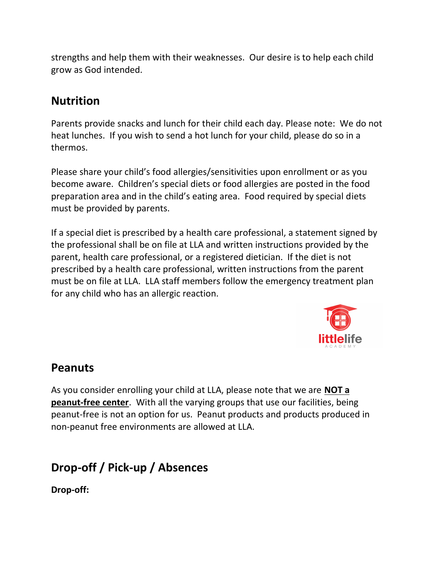strengths and help them with their weaknesses. Our desire is to help each child grow as God intended.

#### **Nutrition**

Parents provide snacks and lunch for their child each day. Please note: We do not heat lunches. If you wish to send a hot lunch for your child, please do so in a thermos.

Please share your child's food allergies/sensitivities upon enrollment or as you become aware. Children's special diets or food allergies are posted in the food preparation area and in the child's eating area. Food required by special diets must be provided by parents.

If a special diet is prescribed by a health care professional, a statement signed by the professional shall be on file at LLA and written instructions provided by the parent, health care professional, or a registered dietician. If the diet is not prescribed by a health care professional, written instructions from the parent must be on file at LLA. LLA staff members follow the emergency treatment plan for any child who has an allergic reaction.



#### **Peanuts**

As you consider enrolling your child at LLA, please note that we are **NOT a peanut-free center**. With all the varying groups that use our facilities, being peanut-free is not an option for us. Peanut products and products produced in non-peanut free environments are allowed at LLA.

# **Drop-off / Pick-up / Absences**

**Drop-off:**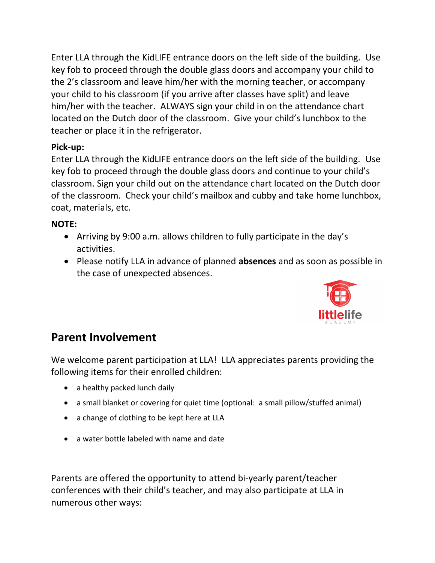Enter LLA through the KidLIFE entrance doors on the left side of the building. Use key fob to proceed through the double glass doors and accompany your child to the 2's classroom and leave him/her with the morning teacher, or accompany your child to his classroom (if you arrive after classes have split) and leave him/her with the teacher. ALWAYS sign your child in on the attendance chart located on the Dutch door of the classroom. Give your child's lunchbox to the teacher or place it in the refrigerator.

#### **Pick-up:**

Enter LLA through the KidLIFE entrance doors on the left side of the building. Use key fob to proceed through the double glass doors and continue to your child's classroom. Sign your child out on the attendance chart located on the Dutch door of the classroom. Check your child's mailbox and cubby and take home lunchbox, coat, materials, etc.

#### **NOTE:**

- Arriving by 9:00 a.m. allows children to fully participate in the day's activities.
- Please notify LLA in advance of planned **absences** and as soon as possible in the case of unexpected absences.



## **Parent Involvement**

We welcome parent participation at LLA! LLA appreciates parents providing the following items for their enrolled children:

- a healthy packed lunch daily
- a small blanket or covering for quiet time (optional: a small pillow/stuffed animal)
- a change of clothing to be kept here at LLA
- a water bottle labeled with name and date

Parents are offered the opportunity to attend bi-yearly parent/teacher conferences with their child's teacher, and may also participate at LLA in numerous other ways: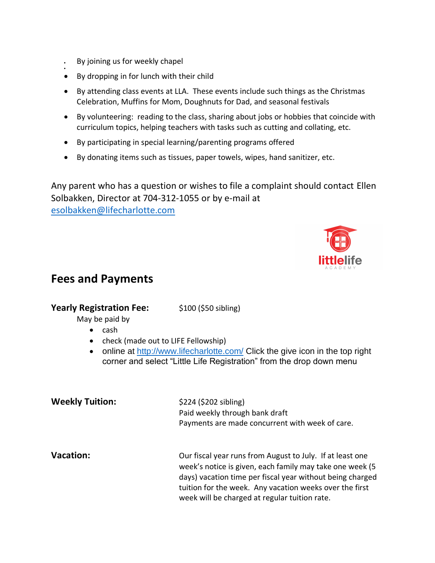• By joining us for weekly chapel

•

- By dropping in for lunch with their child
- By attending class events at LLA. These events include such things as the Christmas Celebration, Muffins for Mom, Doughnuts for Dad, and seasonal festivals
- By volunteering: reading to the class, sharing about jobs or hobbies that coincide with curriculum topics, helping teachers with tasks such as cutting and collating, etc.
- By participating in special learning/parenting programs offered
- By donating items such as tissues, paper towels, wipes, hand sanitizer, etc.

Any parent who has a question or wishes to file a complaint should contact Ellen Solbakken, Director at 704-312-1055 or by e-mail at [esolbakken@lifecharlotte.com](mailto:kshiels@lifecharlotte.com)



#### **Fees and Payments**

#### **Yearly Registration Fee:** \$100 (\$50 sibling)

May be paid by

- cash
- check (made out to LIFE Fellowship)
- online at<http://www.lifecharlotte.com/> Click the give icon in the top right corner and select "Little Life Registration" from the drop down menu

| <b>Weekly Tuition:</b> | \$224 (\$202 sibling)<br>Paid weekly through bank draft<br>Payments are made concurrent with week of care.                                                                                                                                                                                     |
|------------------------|------------------------------------------------------------------------------------------------------------------------------------------------------------------------------------------------------------------------------------------------------------------------------------------------|
| <b>Vacation:</b>       | Our fiscal year runs from August to July. If at least one<br>week's notice is given, each family may take one week (5<br>days) vacation time per fiscal year without being charged<br>tuition for the week. Any vacation weeks over the first<br>week will be charged at regular tuition rate. |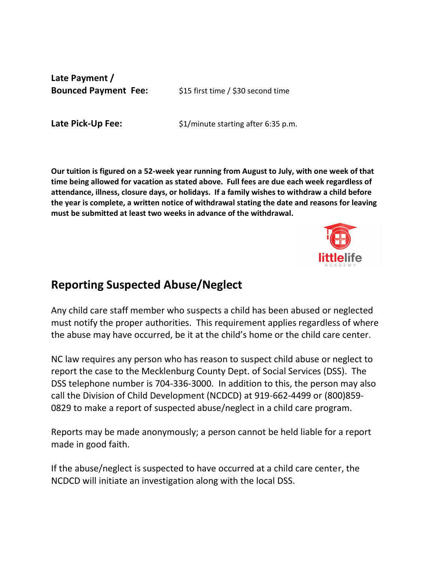**Late Payment /**

**Bounced Payment Fee:** \$15 first time / \$30 second time

**Late Pick-Up Fee:**  $$1/m$ inute starting after 6:35 p.m.

**Our tuition is figured on a 52-week year running from August to July, with one week of that time being allowed for vacation as stated above. Full fees are due each week regardless of attendance, illness, closure days, or holidays. If a family wishes to withdraw a child before the year is complete, a written notice of withdrawal stating the date and reasons for leaving must be submitted at least two weeks in advance of the withdrawal.** 



#### **Reporting Suspected Abuse/Neglect**

Any child care staff member who suspects a child has been abused or neglected must notify the proper authorities. This requirement applies regardless of where the abuse may have occurred, be it at the child's home or the child care center.

NC law requires any person who has reason to suspect child abuse or neglect to report the case to the Mecklenburg County Dept. of Social Services (DSS). The DSS telephone number is 704-336-3000. In addition to this, the person may also call the Division of Child Development (NCDCD) at 919-662-4499 or (800)859- 0829 to make a report of suspected abuse/neglect in a child care program.

Reports may be made anonymously; a person cannot be held liable for a report made in good faith.

If the abuse/neglect is suspected to have occurred at a child care center, the NCDCD will initiate an investigation along with the local DSS.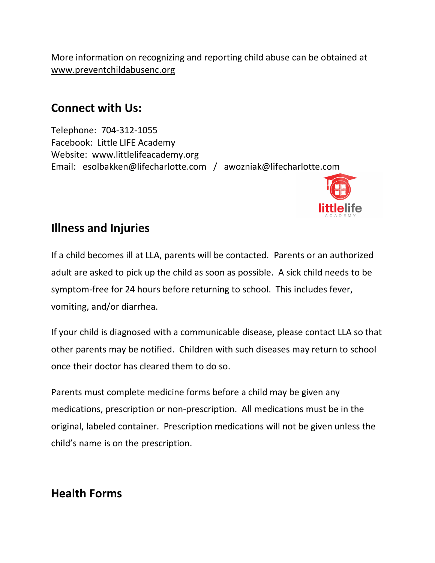More information on recognizing and reporting child abuse can be obtained at [www.preventchildabusenc.org](http://www.preventchildabusenc.org/) 

#### **Connect with Us:**

Telephone: 704-312-1055 Facebook: Little LIFE Academy Website: www.littlelifeacademy.org Email: esolbakken@lifecharlotte.com / awozniak@lifecharlotte.com



#### **Illness and Injuries**

If a child becomes ill at LLA, parents will be contacted. Parents or an authorized adult are asked to pick up the child as soon as possible. A sick child needs to be symptom-free for 24 hours before returning to school. This includes fever, vomiting, and/or diarrhea.

If your child is diagnosed with a communicable disease, please contact LLA so that other parents may be notified. Children with such diseases may return to school once their doctor has cleared them to do so.

Parents must complete medicine forms before a child may be given any medications, prescription or non-prescription. All medications must be in the original, labeled container. Prescription medications will not be given unless the child's name is on the prescription.

#### **Health Forms**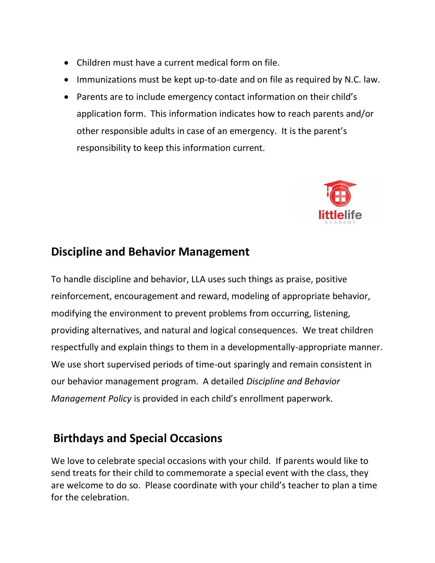- Children must have a current medical form on file.
- Immunizations must be kept up-to-date and on file as required by N.C. law.
- Parents are to include emergency contact information on their child's application form. This information indicates how to reach parents and/or other responsible adults in case of an emergency. It is the parent's responsibility to keep this information current.



#### **Discipline and Behavior Management**

To handle discipline and behavior, LLA uses such things as praise, positive reinforcement, encouragement and reward, modeling of appropriate behavior, modifying the environment to prevent problems from occurring, listening, providing alternatives, and natural and logical consequences. We treat children respectfully and explain things to them in a developmentally-appropriate manner. We use short supervised periods of time-out sparingly and remain consistent in our behavior management program. A detailed *Discipline and Behavior Management Policy* is provided in each child's enrollment paperwork.

## **Birthdays and Special Occasions**

We love to celebrate special occasions with your child. If parents would like to send treats for their child to commemorate a special event with the class, they are welcome to do so. Please coordinate with your child's teacher to plan a time for the celebration.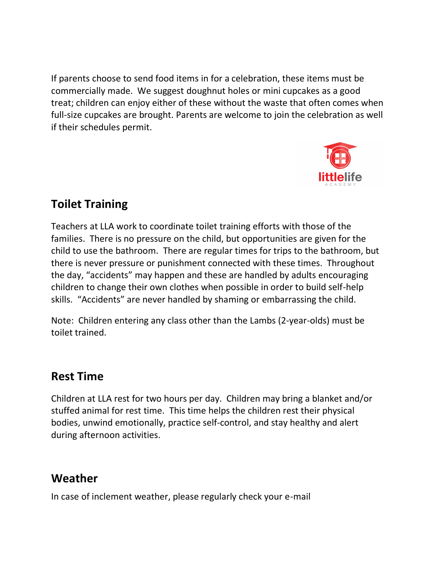If parents choose to send food items in for a celebration, these items must be commercially made. We suggest doughnut holes or mini cupcakes as a good treat; children can enjoy either of these without the waste that often comes when full-size cupcakes are brought. Parents are welcome to join the celebration as well if their schedules permit.



## **Toilet Training**

Teachers at LLA work to coordinate toilet training efforts with those of the families. There is no pressure on the child, but opportunities are given for the child to use the bathroom. There are regular times for trips to the bathroom, but there is never pressure or punishment connected with these times. Throughout the day, "accidents" may happen and these are handled by adults encouraging children to change their own clothes when possible in order to build self-help skills. "Accidents" are never handled by shaming or embarrassing the child.

Note: Children entering any class other than the Lambs (2-year-olds) must be toilet trained.

## **Rest Time**

Children at LLA rest for two hours per day. Children may bring a blanket and/or stuffed animal for rest time. This time helps the children rest their physical bodies, unwind emotionally, practice self-control, and stay healthy and alert during afternoon activities.

# **Weather**

In case of inclement weather, please regularly check your e-mail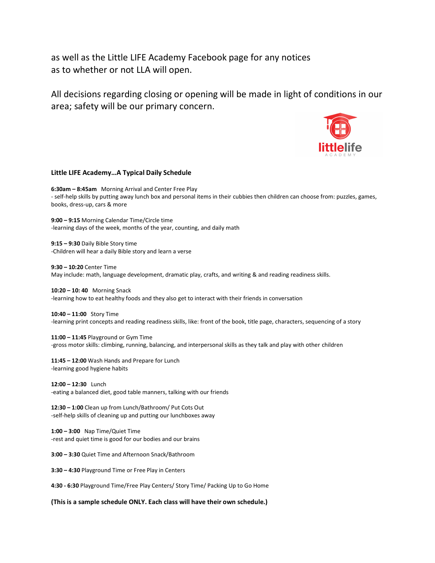as well as the Little LIFE Academy Facebook page for any notices as to whether or not LLA will open.

All decisions regarding closing or opening will be made in light of conditions in our area; safety will be our primary concern.



#### **Little LIFE Academy…A Typical Daily Schedule**

**6:30am – 8:45am** Morning Arrival and Center Free Play - self-help skills by putting away lunch box and personal items in their cubbies then children can choose from: puzzles, games, books, dress-up, cars & more

**9:00 – 9:15** Morning Calendar Time/Circle time -learning days of the week, months of the year, counting, and daily math

**9:15 – 9:30** Daily Bible Story time -Children will hear a daily Bible story and learn a verse

**9:30 – 10:20** Center Time May include: math, language development, dramatic play, crafts, and writing & and reading readiness skills.

**10:20 – 10: 40** Morning Snack -learning how to eat healthy foods and they also get to interact with their friends in conversation

**10:40 – 11:00** Story Time -learning print concepts and reading readiness skills, like: front of the book, title page, characters, sequencing of a story

**11:00 – 11:45** Playground or Gym Time -gross motor skills: climbing, running, balancing, and interpersonal skills as they talk and play with other children

**11:45 – 12:00** Wash Hands and Prepare for Lunch -learning good hygiene habits

**12:00 – 12:30** Lunch -eating a balanced diet, good table manners, talking with our friends

**12:30 – 1:00** Clean up from Lunch/Bathroom/ Put Cots Out -self-help skills of cleaning up and putting our lunchboxes away

**1:00 – 3:00** Nap Time/Quiet Time -rest and quiet time is good for our bodies and our brains

**3:00 – 3:30** Quiet Time and Afternoon Snack/Bathroom

**3:30 – 4:30** Playground Time or Free Play in Centers

**4:30 - 6:30** Playground Time/Free Play Centers/ Story Time/ Packing Up to Go Home

**(This is a sample schedule ONLY. Each class will have their own schedule.)**